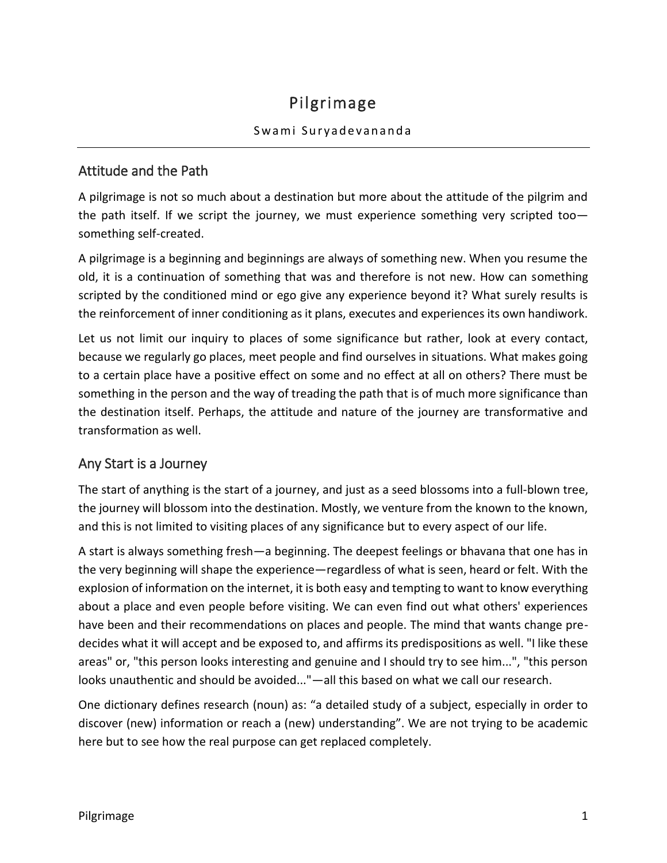# Pilgrimage

#### Swami Suryadevananda

#### Attitude and the Path

A pilgrimage is not so much about a destination but more about the attitude of the pilgrim and the path itself. If we script the journey, we must experience something very scripted too something self-created.

A pilgrimage is a beginning and beginnings are always of something new. When you resume the old, it is a continuation of something that was and therefore is not new. How can something scripted by the conditioned mind or ego give any experience beyond it? What surely results is the reinforcement of inner conditioning as it plans, executes and experiences its own handiwork.

Let us not limit our inquiry to places of some significance but rather, look at every contact, because we regularly go places, meet people and find ourselves in situations. What makes going to a certain place have a positive effect on some and no effect at all on others? There must be something in the person and the way of treading the path that is of much more significance than the destination itself. Perhaps, the attitude and nature of the journey are transformative and transformation as well.

### Any Start is a Journey

The start of anything is the start of a journey, and just as a seed blossoms into a full-blown tree, the journey will blossom into the destination. Mostly, we venture from the known to the known, and this is not limited to visiting places of any significance but to every aspect of our life.

A start is always something fresh—a beginning. The deepest feelings or bhavana that one has in the very beginning will shape the experience—regardless of what is seen, heard or felt. With the explosion of information on the internet, it is both easy and tempting to want to know everything about a place and even people before visiting. We can even find out what others' experiences have been and their recommendations on places and people. The mind that wants change predecides what it will accept and be exposed to, and affirms its predispositions as well. "I like these areas" or, "this person looks interesting and genuine and I should try to see him...", "this person looks unauthentic and should be avoided..."—all this based on what we call our research.

One dictionary defines research (noun) as: "a detailed study of a subject, especially in order to discover (new) information or reach a (new) understanding". We are not trying to be academic here but to see how the real purpose can get replaced completely.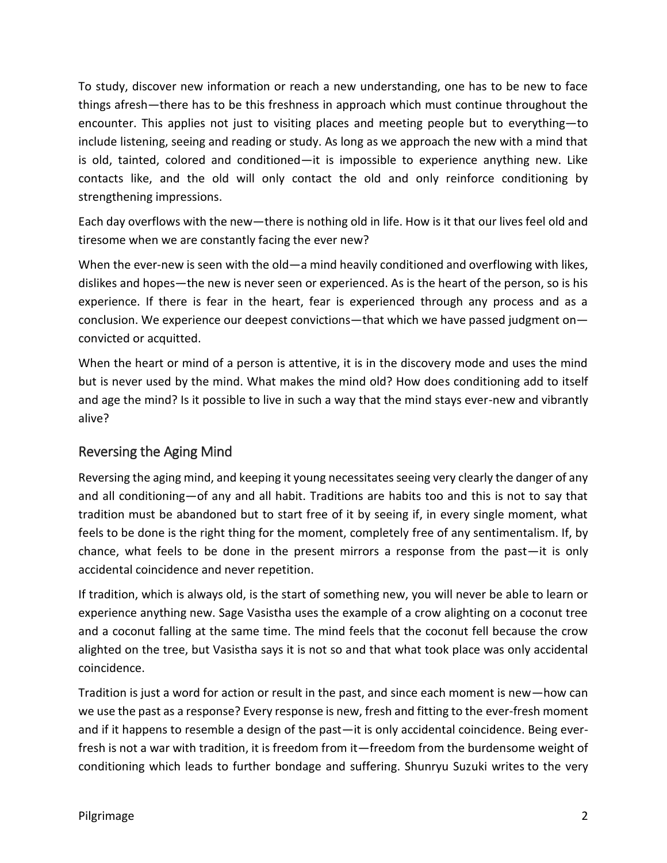To study, discover new information or reach a new understanding, one has to be new to face things afresh—there has to be this freshness in approach which must continue throughout the encounter. This applies not just to visiting places and meeting people but to everything—to include listening, seeing and reading or study. As long as we approach the new with a mind that is old, tainted, colored and conditioned—it is impossible to experience anything new. Like contacts like, and the old will only contact the old and only reinforce conditioning by strengthening impressions.

Each day overflows with the new—there is nothing old in life. How is it that our lives feel old and tiresome when we are constantly facing the ever new?

When the ever-new is seen with the old—a mind heavily conditioned and overflowing with likes, dislikes and hopes—the new is never seen or experienced. As is the heart of the person, so is his experience. If there is fear in the heart, fear is experienced through any process and as a conclusion. We experience our deepest convictions—that which we have passed judgment on convicted or acquitted.

When the heart or mind of a person is attentive, it is in the discovery mode and uses the mind but is never used by the mind. What makes the mind old? How does conditioning add to itself and age the mind? Is it possible to live in such a way that the mind stays ever-new and vibrantly alive?

### Reversing the Aging Mind

Reversing the aging mind, and keeping it young necessitates seeing very clearly the danger of any and all conditioning—of any and all habit. Traditions are habits too and this is not to say that tradition must be abandoned but to start free of it by seeing if, in every single moment, what feels to be done is the right thing for the moment, completely free of any sentimentalism. If, by chance, what feels to be done in the present mirrors a response from the past—it is only accidental coincidence and never repetition.

If tradition, which is always old, is the start of something new, you will never be able to learn or experience anything new. Sage Vasistha uses the example of a crow alighting on a coconut tree and a coconut falling at the same time. The mind feels that the coconut fell because the crow alighted on the tree, but Vasistha says it is not so and that what took place was only accidental coincidence.

Tradition is just a word for action or result in the past, and since each moment is new—how can we use the past as a response? Every response is new, fresh and fitting to the ever-fresh moment and if it happens to resemble a design of the past—it is only accidental coincidence. Being everfresh is not a war with tradition, it is freedom from it—freedom from the burdensome weight of conditioning which leads to further bondage and suffering. Shunryu Suzuki writes to the very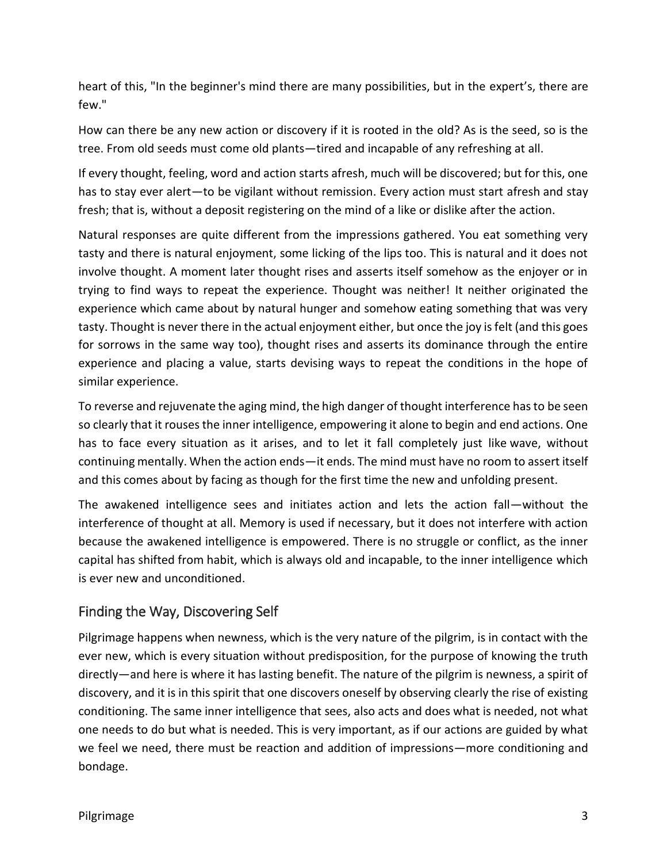heart of this, "In the beginner's mind there are many possibilities, but in the expert's, there are few."

How can there be any new action or discovery if it is rooted in the old? As is the seed, so is the tree. From old seeds must come old plants—tired and incapable of any refreshing at all.

If every thought, feeling, word and action starts afresh, much will be discovered; but for this, one has to stay ever alert—to be vigilant without remission. Every action must start afresh and stay fresh; that is, without a deposit registering on the mind of a like or dislike after the action.

Natural responses are quite different from the impressions gathered. You eat something very tasty and there is natural enjoyment, some licking of the lips too. This is natural and it does not involve thought. A moment later thought rises and asserts itself somehow as the enjoyer or in trying to find ways to repeat the experience. Thought was neither! It neither originated the experience which came about by natural hunger and somehow eating something that was very tasty. Thought is never there in the actual enjoyment either, but once the joy is felt (and this goes for sorrows in the same way too), thought rises and asserts its dominance through the entire experience and placing a value, starts devising ways to repeat the conditions in the hope of similar experience.

To reverse and rejuvenate the aging mind, the high danger of thought interference has to be seen so clearly that it rouses the inner intelligence, empowering it alone to begin and end actions. One has to face every situation as it arises, and to let it fall completely just like wave, without continuing mentally. When the action ends—it ends. The mind must have no room to assert itself and this comes about by facing as though for the first time the new and unfolding present.

The awakened intelligence sees and initiates action and lets the action fall—without the interference of thought at all. Memory is used if necessary, but it does not interfere with action because the awakened intelligence is empowered. There is no struggle or conflict, as the inner capital has shifted from habit, which is always old and incapable, to the inner intelligence which is ever new and unconditioned.

### Finding the Way, Discovering Self

Pilgrimage happens when newness, which is the very nature of the pilgrim, is in contact with the ever new, which is every situation without predisposition, for the purpose of knowing the truth directly—and here is where it has lasting benefit. The nature of the pilgrim is newness, a spirit of discovery, and it is in this spirit that one discovers oneself by observing clearly the rise of existing conditioning. The same inner intelligence that sees, also acts and does what is needed, not what one needs to do but what is needed. This is very important, as if our actions are guided by what we feel we need, there must be reaction and addition of impressions—more conditioning and bondage.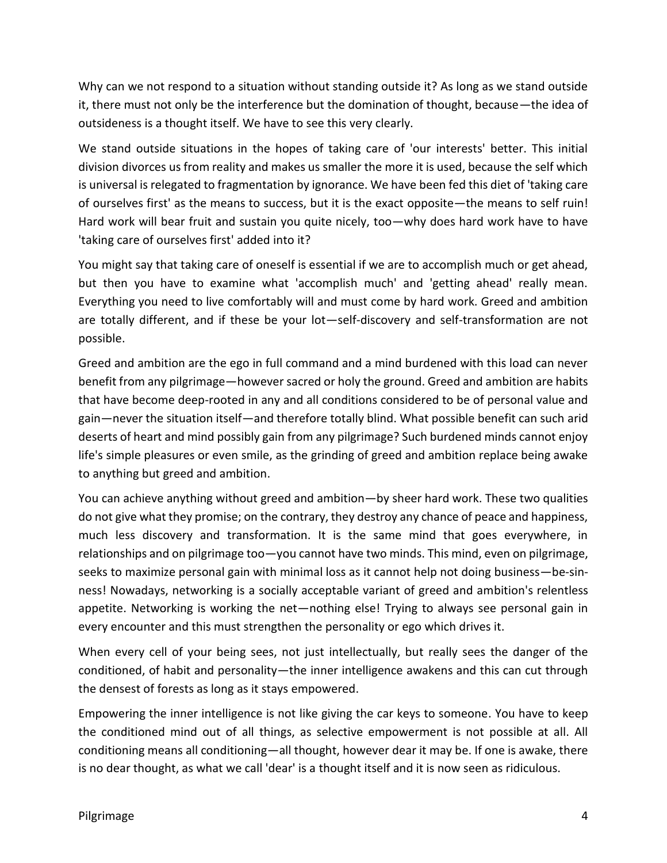Why can we not respond to a situation without standing outside it? As long as we stand outside it, there must not only be the interference but the domination of thought, because—the idea of outsideness is a thought itself. We have to see this very clearly.

We stand outside situations in the hopes of taking care of 'our interests' better. This initial division divorces us from reality and makes us smaller the more it is used, because the self which is universal is relegated to fragmentation by ignorance. We have been fed this diet of 'taking care of ourselves first' as the means to success, but it is the exact opposite—the means to self ruin! Hard work will bear fruit and sustain you quite nicely, too—why does hard work have to have 'taking care of ourselves first' added into it?

You might say that taking care of oneself is essential if we are to accomplish much or get ahead, but then you have to examine what 'accomplish much' and 'getting ahead' really mean. Everything you need to live comfortably will and must come by hard work. Greed and ambition are totally different, and if these be your lot—self-discovery and self-transformation are not possible.

Greed and ambition are the ego in full command and a mind burdened with this load can never benefit from any pilgrimage—however sacred or holy the ground. Greed and ambition are habits that have become deep-rooted in any and all conditions considered to be of personal value and gain—never the situation itself—and therefore totally blind. What possible benefit can such arid deserts of heart and mind possibly gain from any pilgrimage? Such burdened minds cannot enjoy life's simple pleasures or even smile, as the grinding of greed and ambition replace being awake to anything but greed and ambition.

You can achieve anything without greed and ambition—by sheer hard work. These two qualities do not give what they promise; on the contrary, they destroy any chance of peace and happiness, much less discovery and transformation. It is the same mind that goes everywhere, in relationships and on pilgrimage too—you cannot have two minds. This mind, even on pilgrimage, seeks to maximize personal gain with minimal loss as it cannot help not doing business—be-sinness! Nowadays, networking is a socially acceptable variant of greed and ambition's relentless appetite. Networking is working the net—nothing else! Trying to always see personal gain in every encounter and this must strengthen the personality or ego which drives it.

When every cell of your being sees, not just intellectually, but really sees the danger of the conditioned, of habit and personality—the inner intelligence awakens and this can cut through the densest of forests as long as it stays empowered.

Empowering the inner intelligence is not like giving the car keys to someone. You have to keep the conditioned mind out of all things, as selective empowerment is not possible at all. All conditioning means all conditioning—all thought, however dear it may be. If one is awake, there is no dear thought, as what we call 'dear' is a thought itself and it is now seen as ridiculous.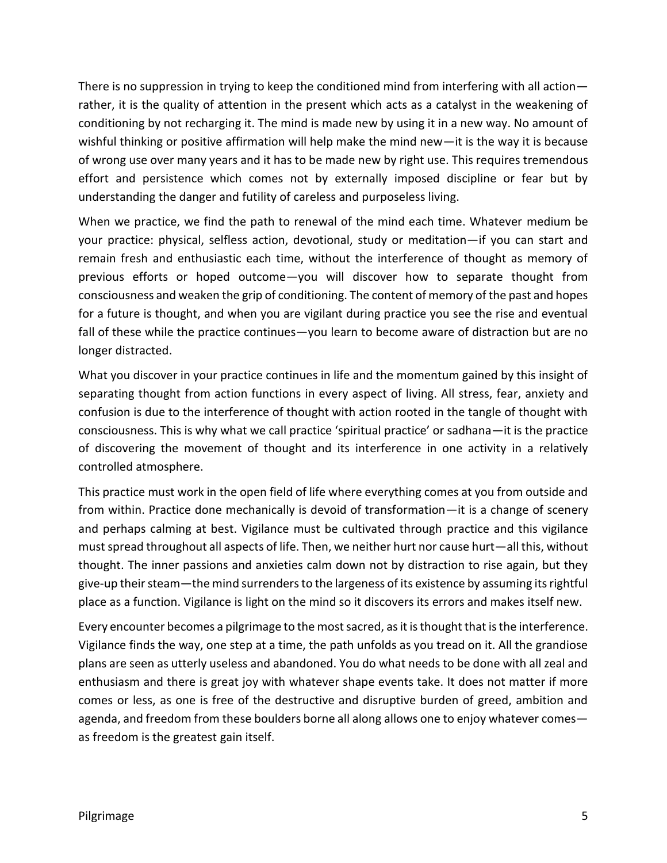There is no suppression in trying to keep the conditioned mind from interfering with all action rather, it is the quality of attention in the present which acts as a catalyst in the weakening of conditioning by not recharging it. The mind is made new by using it in a new way. No amount of wishful thinking or positive affirmation will help make the mind new—it is the way it is because of wrong use over many years and it has to be made new by right use. This requires tremendous effort and persistence which comes not by externally imposed discipline or fear but by understanding the danger and futility of careless and purposeless living.

When we practice, we find the path to renewal of the mind each time. Whatever medium be your practice: physical, selfless action, devotional, study or meditation—if you can start and remain fresh and enthusiastic each time, without the interference of thought as memory of previous efforts or hoped outcome—you will discover how to separate thought from consciousness and weaken the grip of conditioning. The content of memory of the past and hopes for a future is thought, and when you are vigilant during practice you see the rise and eventual fall of these while the practice continues-you learn to become aware of distraction but are no longer distracted.

What you discover in your practice continues in life and the momentum gained by this insight of separating thought from action functions in every aspect of living. All stress, fear, anxiety and confusion is due to the interference of thought with action rooted in the tangle of thought with consciousness. This is why what we call practice 'spiritual practice' or sadhana—it is the practice of discovering the movement of thought and its interference in one activity in a relatively controlled atmosphere.

This practice must work in the open field of life where everything comes at you from outside and from within. Practice done mechanically is devoid of transformation—it is a change of scenery and perhaps calming at best. Vigilance must be cultivated through practice and this vigilance must spread throughout all aspects of life. Then, we neither hurt nor cause hurt—all this, without thought. The inner passions and anxieties calm down not by distraction to rise again, but they give-up their steam—the mind surrenders to the largeness of its existence by assuming its rightful place as a function. Vigilance is light on the mind so it discovers its errors and makes itself new.

Every encounter becomes a pilgrimage to the most sacred, as it is thought that is the interference. Vigilance finds the way, one step at a time, the path unfolds as you tread on it. All the grandiose plans are seen as utterly useless and abandoned. You do what needs to be done with all zeal and enthusiasm and there is great joy with whatever shape events take. It does not matter if more comes or less, as one is free of the destructive and disruptive burden of greed, ambition and agenda, and freedom from these boulders borne all along allows one to enjoy whatever comes as freedom is the greatest gain itself.